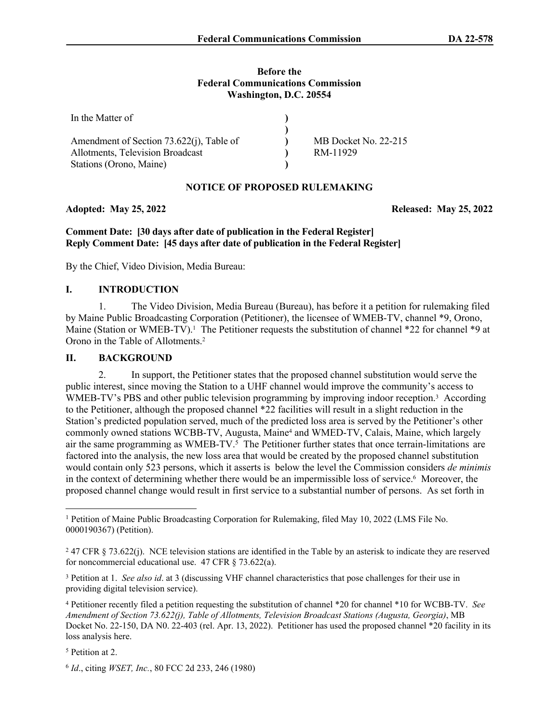#### **Before the Federal Communications Commission Washington, D.C. 20554**

| In the Matter of                         |                      |
|------------------------------------------|----------------------|
|                                          |                      |
| Amendment of Section 73.622(j), Table of | MB Docket No. 22-215 |
| Allotments, Television Broadcast         | RM-11929             |
| Stations (Orono, Maine)                  |                      |

# **NOTICE OF PROPOSED RULEMAKING**

# **Adopted: May 25, 2022 Released: May 25, 2022**

**Comment Date: [30 days after date of publication in the Federal Register] Reply Comment Date: [45 days after date of publication in the Federal Register]**

By the Chief, Video Division, Media Bureau:

# **I. INTRODUCTION**

1. The Video Division, Media Bureau (Bureau), has before it a petition for rulemaking filed by Maine Public Broadcasting Corporation (Petitioner), the licensee of WMEB-TV, channel \*9, Orono, Maine (Station or WMEB-TV).<sup>1</sup> The Petitioner requests the substitution of channel \*22 for channel \*9 at Orono in the Table of Allotments.<sup>2</sup>

### **II. BACKGROUND**

2. In support, the Petitioner states that the proposed channel substitution would serve the public interest, since moving the Station to a UHF channel would improve the community's access to WMEB-TV's PBS and other public television programming by improving indoor reception.<sup>3</sup> According to the Petitioner, although the proposed channel \*22 facilities will result in a slight reduction in the Station's predicted population served, much of the predicted loss area is served by the Petitioner's other commonly owned stations WCBB-TV, Augusta, Maine<sup>4</sup> and WMED-TV, Calais, Maine, which largely air the same programming as WMEB-TV.<sup>5</sup> The Petitioner further states that once terrain-limitations are factored into the analysis, the new loss area that would be created by the proposed channel substitution would contain only 523 persons, which it asserts is below the level the Commission considers *de minimis* in the context of determining whether there would be an impermissible loss of service.<sup>6</sup> Moreover, the proposed channel change would result in first service to a substantial number of persons. As set forth in

5 Petition at 2.

<sup>1</sup> Petition of Maine Public Broadcasting Corporation for Rulemaking, filed May 10, 2022 (LMS File No. 0000190367) (Petition).

<sup>&</sup>lt;sup>2</sup> 47 CFR § 73.622(j). NCE television stations are identified in the Table by an asterisk to indicate they are reserved for noncommercial educational use. 47 CFR § 73.622(a).

<sup>3</sup> Petition at 1. *See also id*. at 3 (discussing VHF channel characteristics that pose challenges for their use in providing digital television service).

<sup>4</sup> Petitioner recently filed a petition requesting the substitution of channel \*20 for channel \*10 for WCBB-TV. *See Amendment of Section 73.622(j), Table of Allotments, Television Broadcast Stations (Augusta, Georgia)*, MB Docket No. 22-150, DA N0. 22-403 (rel. Apr. 13, 2022). Petitioner has used the proposed channel \*20 facility in its loss analysis here.

<sup>6</sup> *Id*., citing *WSET, Inc.*, 80 FCC 2d 233, 246 (1980)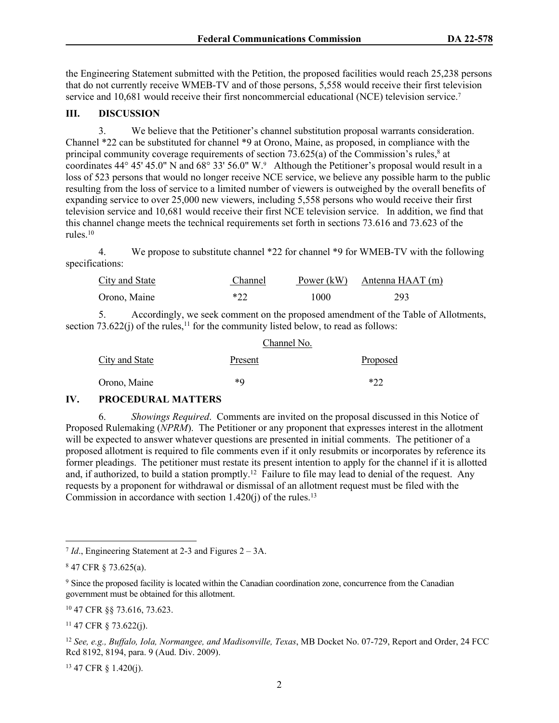the Engineering Statement submitted with the Petition, the proposed facilities would reach 25,238 persons that do not currently receive WMEB-TV and of those persons, 5,558 would receive their first television service and 10,681 would receive their first noncommercial educational (NCE) television service.<sup>7</sup>

# **III. DISCUSSION**

3. We believe that the Petitioner's channel substitution proposal warrants consideration. Channel \*22 can be substituted for channel \*9 at Orono, Maine, as proposed, in compliance with the principal community coverage requirements of section  $73.625(a)$  of the Commission's rules,<sup>8</sup> at coordinates 44° 45' 45.0" N and 68° 33' 56.0" W.<sup>9</sup> Although the Petitioner's proposal would result in a loss of 523 persons that would no longer receive NCE service, we believe any possible harm to the public resulting from the loss of service to a limited number of viewers is outweighed by the overall benefits of expanding service to over 25,000 new viewers, including 5,558 persons who would receive their first television service and 10,681 would receive their first NCE television service. In addition, we find that this channel change meets the technical requirements set forth in sections 73.616 and 73.623 of the rules.<sup>10</sup>

4. We propose to substitute channel \*22 for channel \*9 for WMEB-TV with the following specifications:

| <b>City and State</b> | Channel | Power (kW) | Antenna HAAT (m) |
|-----------------------|---------|------------|------------------|
| Orono, Maine          | $*22$   | 1000       | 293              |

5. Accordingly, we seek comment on the proposed amendment of the Table of Allotments, section  $73.622(i)$  of the rules,  $11$  for the community listed below, to read as follows:

| Channel No.           |         |          |  |  |
|-----------------------|---------|----------|--|--|
| <b>City and State</b> | Present | Proposed |  |  |
| Orono, Maine          | *Q      | * ? ?    |  |  |

# **IV. PROCEDURAL MATTERS**

6. *Showings Required*. Comments are invited on the proposal discussed in this Notice of Proposed Rulemaking (*NPRM*). The Petitioner or any proponent that expresses interest in the allotment will be expected to answer whatever questions are presented in initial comments. The petitioner of a proposed allotment is required to file comments even if it only resubmits or incorporates by reference its former pleadings. The petitioner must restate its present intention to apply for the channel if it is allotted and, if authorized, to build a station promptly.<sup>12</sup> Failure to file may lead to denial of the request. Any requests by a proponent for withdrawal or dismissal of an allotment request must be filed with the Commission in accordance with section  $1.420(i)$  of the rules.<sup>13</sup>

13 47 CFR § 1.420(j).

<sup>7</sup> *Id*., Engineering Statement at 2-3 and Figures 2 – 3A.

<sup>8</sup> 47 CFR § 73.625(a).

<sup>9</sup> Since the proposed facility is located within the Canadian coordination zone, concurrence from the Canadian government must be obtained for this allotment.

<sup>10</sup> 47 CFR §§ 73.616, 73.623.

 $11$  47 CFR  $\S$  73.622(j).

<sup>12</sup> *See, e.g., Buffalo, Iola, Normangee, and Madisonville, Texas*, MB Docket No. 07-729, Report and Order, 24 FCC Rcd 8192, 8194, para. 9 (Aud. Div. 2009).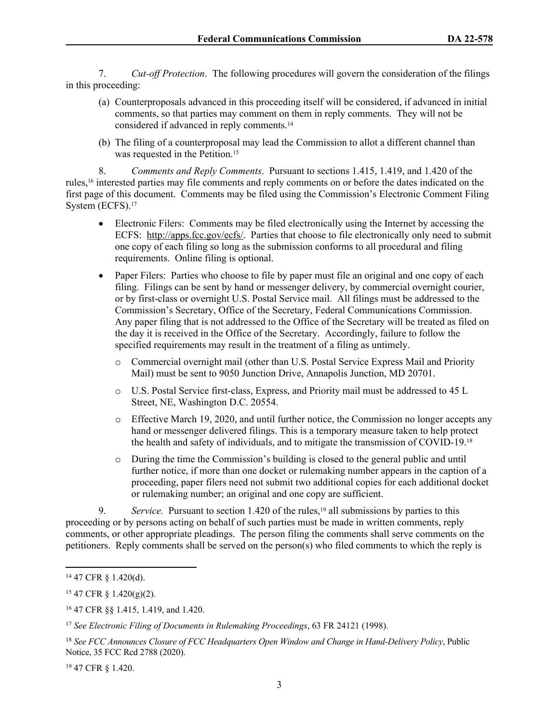7. *Cut-off Protection*. The following procedures will govern the consideration of the filings in this proceeding:

- (a) Counterproposals advanced in this proceeding itself will be considered, if advanced in initial comments, so that parties may comment on them in reply comments. They will not be considered if advanced in reply comments.<sup>14</sup>
- (b) The filing of a counterproposal may lead the Commission to allot a different channel than was requested in the Petition.<sup>15</sup>

8. *Comments and Reply Comments*. Pursuant to sections 1.415, 1.419, and 1.420 of the rules,16 interested parties may file comments and reply comments on or before the dates indicated on the first page of this document. Comments may be filed using the Commission's Electronic Comment Filing System (ECFS).<sup>17</sup>

- Electronic Filers: Comments may be filed electronically using the Internet by accessing the ECFS: [http://apps.fcc.gov/ecfs/.](about:blank) Parties that choose to file electronically only need to submit one copy of each filing so long as the submission conforms to all procedural and filing requirements. Online filing is optional.
- Paper Filers: Parties who choose to file by paper must file an original and one copy of each filing. Filings can be sent by hand or messenger delivery, by commercial overnight courier, or by first-class or overnight U.S. Postal Service mail. All filings must be addressed to the Commission's Secretary, Office of the Secretary, Federal Communications Commission. Any paper filing that is not addressed to the Office of the Secretary will be treated as filed on the day it is received in the Office of the Secretary. Accordingly, failure to follow the specified requirements may result in the treatment of a filing as untimely.
	- o Commercial overnight mail (other than U.S. Postal Service Express Mail and Priority Mail) must be sent to 9050 Junction Drive, Annapolis Junction, MD 20701.
	- o U.S. Postal Service first-class, Express, and Priority mail must be addressed to 45 L Street, NE, Washington D.C. 20554.
	- o Effective March 19, 2020, and until further notice, the Commission no longer accepts any hand or messenger delivered filings. This is a temporary measure taken to help protect the health and safety of individuals, and to mitigate the transmission of COVID-19.<sup>18</sup>
	- o During the time the Commission's building is closed to the general public and until further notice, if more than one docket or rulemaking number appears in the caption of a proceeding, paper filers need not submit two additional copies for each additional docket or rulemaking number; an original and one copy are sufficient.

9. *Service.* Pursuant to section 1.420 of the rules,<sup>19</sup> all submissions by parties to this proceeding or by persons acting on behalf of such parties must be made in written comments, reply comments, or other appropriate pleadings. The person filing the comments shall serve comments on the petitioners. Reply comments shall be served on the person(s) who filed comments to which the reply is

19 47 CFR § 1.420.

<sup>14</sup> 47 CFR § 1.420(d).

 $15$  47 CFR § 1.420(g)(2).

<sup>16</sup> 47 CFR §§ 1.415, 1.419, and 1.420.

<sup>17</sup> *See Electronic Filing of Documents in Rulemaking Proceedings*, 63 FR 24121 (1998).

<sup>18</sup> *See FCC Announces Closure of FCC Headquarters Open Window and Change in Hand-Delivery Policy*, Public Notice, 35 FCC Rcd 2788 (2020).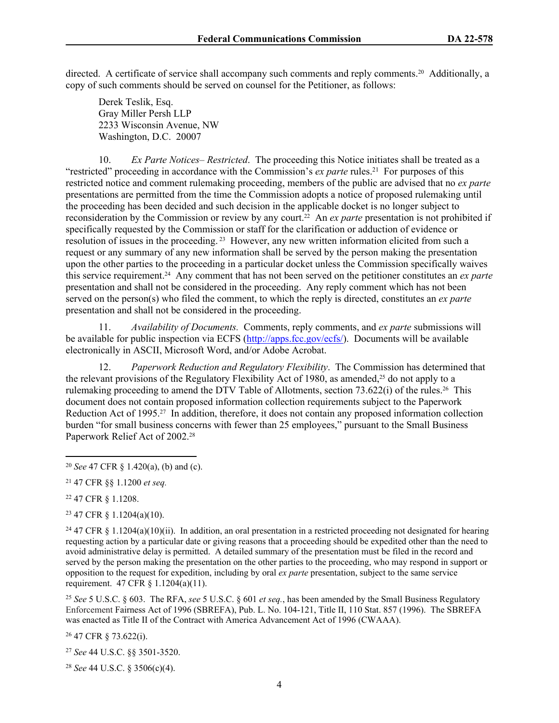directed. A certificate of service shall accompany such comments and reply comments.20 Additionally, a copy of such comments should be served on counsel for the Petitioner, as follows:

Derek Teslik, Esq. Gray Miller Persh LLP 2233 Wisconsin Avenue, NW Washington, D.C. 20007

10. *Ex Parte Notices– Restricted*. The proceeding this Notice initiates shall be treated as a "restricted" proceeding in accordance with the Commission's *ex parte* rules.<sup>21</sup> For purposes of this restricted notice and comment rulemaking proceeding, members of the public are advised that no *ex parte* presentations are permitted from the time the Commission adopts a notice of proposed rulemaking until the proceeding has been decided and such decision in the applicable docket is no longer subject to reconsideration by the Commission or review by any court.22 An *ex parte* presentation is not prohibited if specifically requested by the Commission or staff for the clarification or adduction of evidence or resolution of issues in the proceeding. 23 However, any new written information elicited from such a request or any summary of any new information shall be served by the person making the presentation upon the other parties to the proceeding in a particular docket unless the Commission specifically waives this service requirement.24 Any comment that has not been served on the petitioner constitutes an *ex parte* presentation and shall not be considered in the proceeding. Any reply comment which has not been served on the person(s) who filed the comment, to which the reply is directed, constitutes an *ex parte* presentation and shall not be considered in the proceeding.

11. *Availability of Documents.* Comments, reply comments, and *ex parte* submissions will be available for public inspection via ECFS [\(http://apps.fcc.gov/ecfs/\)](http://apps.fcc.gov/ecfs/). Documents will be available electronically in ASCII, Microsoft Word, and/or Adobe Acrobat.

12. *Paperwork Reduction and Regulatory Flexibility*. The Commission has determined that the relevant provisions of the Regulatory Flexibility Act of 1980, as amended,<sup>25</sup> do not apply to a rulemaking proceeding to amend the DTV Table of Allotments, section 73.622(i) of the rules.26 This document does not contain proposed information collection requirements subject to the Paperwork Reduction Act of 1995.27 In addition, therefore, it does not contain any proposed information collection burden "for small business concerns with fewer than 25 employees," pursuant to the Small Business Paperwork Relief Act of 2002.<sup>28</sup>

<sup>22</sup> 47 CFR § 1.1208.

<sup>23</sup> 47 CFR § 1.1204(a)(10).

<sup>24</sup> 47 CFR § 1.1204(a)(10)(ii). In addition, an oral presentation in a restricted proceeding not designated for hearing requesting action by a particular date or giving reasons that a proceeding should be expedited other than the need to avoid administrative delay is permitted. A detailed summary of the presentation must be filed in the record and served by the person making the presentation on the other parties to the proceeding, who may respond in support or opposition to the request for expedition, including by oral *ex parte* presentation, subject to the same service requirement. 47 CFR § 1.1204(a)(11).

<sup>25</sup> *See* 5 U.S.C. § 603. The RFA, *see* 5 U.S.C. § 601 *et seq.*, has been amended by the Small Business Regulatory Enforcement Fairness Act of 1996 (SBREFA), Pub. L. No. 104-121, Title II, 110 Stat. 857 (1996). The SBREFA was enacted as Title II of the Contract with America Advancement Act of 1996 (CWAAA).

<sup>26</sup> 47 CFR § 73.622(i).

<sup>27</sup> *See* 44 U.S.C. §§ 3501-3520.

<sup>28</sup> *See* 44 U.S.C. § 3506(c)(4).

<sup>20</sup> *See* 47 CFR § 1.420(a), (b) and (c).

<sup>21</sup> 47 CFR §§ 1.1200 *et seq.*